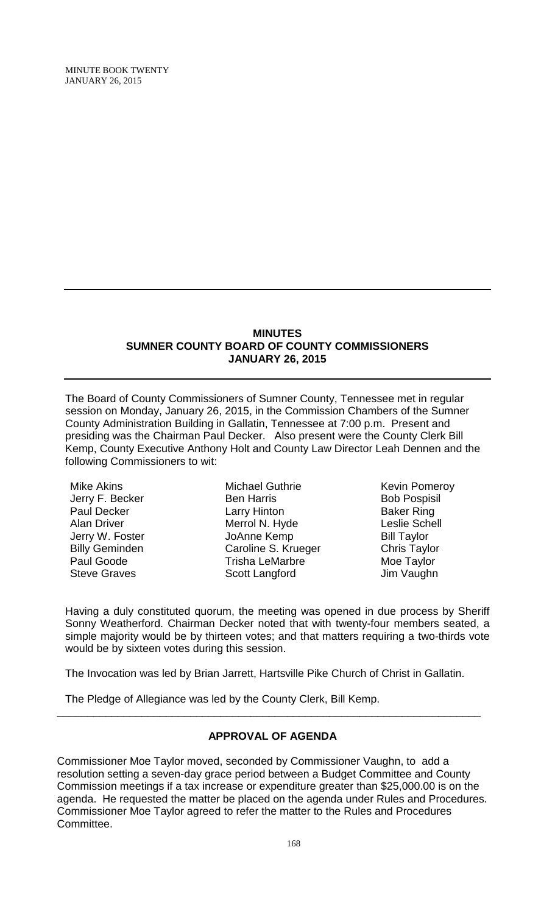#### **MINUTES SUMNER COUNTY BOARD OF COUNTY COMMISSIONERS JANUARY 26, 2015**

The Board of County Commissioners of Sumner County, Tennessee met in regular session on Monday, January 26, 2015, in the Commission Chambers of the Sumner County Administration Building in Gallatin, Tennessee at 7:00 p.m. Present and presiding was the Chairman Paul Decker. Also present were the County Clerk Bill Kemp, County Executive Anthony Holt and County Law Director Leah Dennen and the following Commissioners to wit:

Mike Akins Jerry F. Becker Paul Decker Alan Driver Jerry W. Foster Billy Geminden Paul Goode Steve Graves

Michael Guthrie Ben Harris Larry Hinton Merrol N. Hyde JoAnne Kemp Caroline S. Krueger Trisha LeMarbre Scott Langford

Kevin Pomeroy Bob Pospisil Baker Ring Leslie Schell Bill Taylor Chris Taylor Moe Taylor Jim Vaughn

Having a duly constituted quorum, the meeting was opened in due process by Sheriff Sonny Weatherford. Chairman Decker noted that with twenty-four members seated, a simple majority would be by thirteen votes; and that matters requiring a two-thirds vote would be by sixteen votes during this session.

The Invocation was led by Brian Jarrett, Hartsville Pike Church of Christ in Gallatin.

The Pledge of Allegiance was led by the County Clerk, Bill Kemp.

# **APPROVAL OF AGENDA**

\_\_\_\_\_\_\_\_\_\_\_\_\_\_\_\_\_\_\_\_\_\_\_\_\_\_\_\_\_\_\_\_\_\_\_\_\_\_\_\_\_\_\_\_\_\_\_\_\_\_\_\_\_\_\_\_\_\_\_\_\_\_\_\_\_\_\_\_\_\_

Commissioner Moe Taylor moved, seconded by Commissioner Vaughn, to add a resolution setting a seven-day grace period between a Budget Committee and County Commission meetings if a tax increase or expenditure greater than \$25,000.00 is on the agenda. He requested the matter be placed on the agenda under Rules and Procedures. Commissioner Moe Taylor agreed to refer the matter to the Rules and Procedures Committee.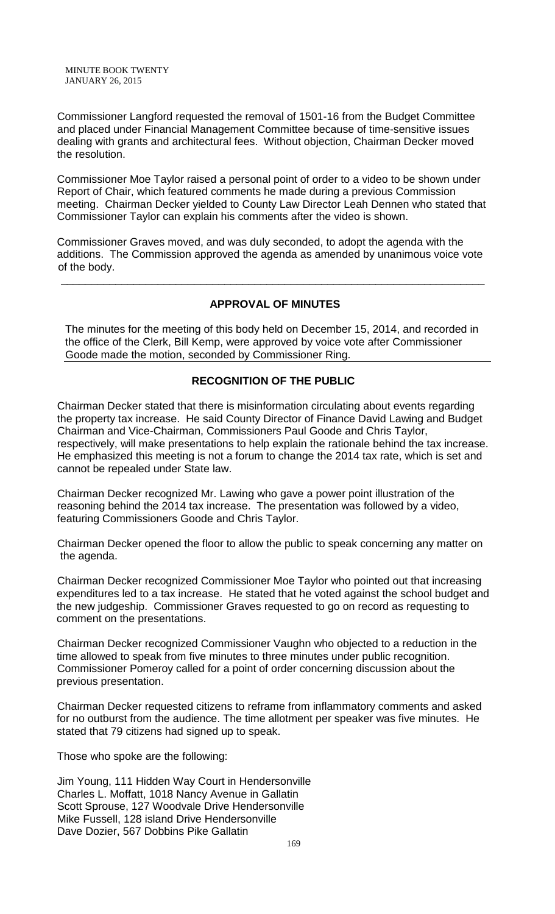Commissioner Langford requested the removal of 1501-16 from the Budget Committee and placed under Financial Management Committee because of time-sensitive issues dealing with grants and architectural fees. Without objection, Chairman Decker moved the resolution.

Commissioner Moe Taylor raised a personal point of order to a video to be shown under Report of Chair, which featured comments he made during a previous Commission meeting. Chairman Decker yielded to County Law Director Leah Dennen who stated that Commissioner Taylor can explain his comments after the video is shown.

Commissioner Graves moved, and was duly seconded, to adopt the agenda with the additions. The Commission approved the agenda as amended by unanimous voice vote of the body.

\_\_\_\_\_\_\_\_\_\_\_\_\_\_\_\_\_\_\_\_\_\_\_\_\_\_\_\_\_\_\_\_\_\_\_\_\_\_\_\_\_\_\_\_\_\_\_\_\_\_\_\_\_\_\_\_\_\_\_\_\_\_\_\_\_\_\_\_\_\_

# **APPROVAL OF MINUTES**

The minutes for the meeting of this body held on December 15, 2014, and recorded in the office of the Clerk, Bill Kemp, were approved by voice vote after Commissioner Goode made the motion, seconded by Commissioner Ring.

# **RECOGNITION OF THE PUBLIC**

Chairman Decker stated that there is misinformation circulating about events regarding the property tax increase. He said County Director of Finance David Lawing and Budget Chairman and Vice-Chairman, Commissioners Paul Goode and Chris Taylor, respectively, will make presentations to help explain the rationale behind the tax increase. He emphasized this meeting is not a forum to change the 2014 tax rate, which is set and cannot be repealed under State law.

Chairman Decker recognized Mr. Lawing who gave a power point illustration of the reasoning behind the 2014 tax increase. The presentation was followed by a video, featuring Commissioners Goode and Chris Taylor.

Chairman Decker opened the floor to allow the public to speak concerning any matter on the agenda.

Chairman Decker recognized Commissioner Moe Taylor who pointed out that increasing expenditures led to a tax increase. He stated that he voted against the school budget and the new judgeship. Commissioner Graves requested to go on record as requesting to comment on the presentations.

Chairman Decker recognized Commissioner Vaughn who objected to a reduction in the time allowed to speak from five minutes to three minutes under public recognition. Commissioner Pomeroy called for a point of order concerning discussion about the previous presentation.

Chairman Decker requested citizens to reframe from inflammatory comments and asked for no outburst from the audience. The time allotment per speaker was five minutes. He stated that 79 citizens had signed up to speak.

Those who spoke are the following:

Jim Young, 111 Hidden Way Court in Hendersonville Charles L. Moffatt, 1018 Nancy Avenue in Gallatin Scott Sprouse, 127 Woodvale Drive Hendersonville Mike Fussell, 128 island Drive Hendersonville Dave Dozier, 567 Dobbins Pike Gallatin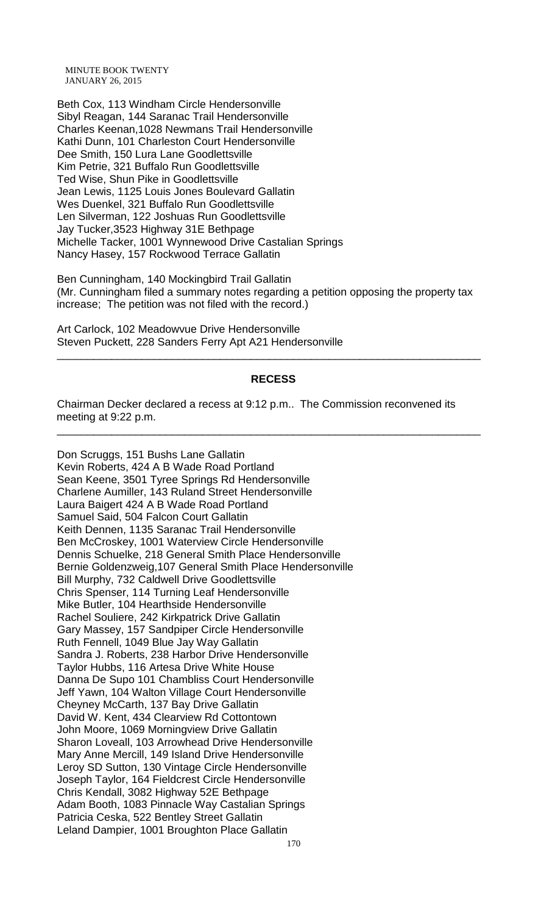Beth Cox, 113 Windham Circle Hendersonville Sibyl Reagan, 144 Saranac Trail Hendersonville Charles Keenan,1028 Newmans Trail Hendersonville Kathi Dunn, 101 Charleston Court Hendersonville Dee Smith, 150 Lura Lane Goodlettsville Kim Petrie, 321 Buffalo Run Goodlettsville Ted Wise, Shun Pike in Goodlettsville Jean Lewis, 1125 Louis Jones Boulevard Gallatin Wes Duenkel, 321 Buffalo Run Goodlettsville Len Silverman, 122 Joshuas Run Goodlettsville Jay Tucker,3523 Highway 31E Bethpage Michelle Tacker, 1001 Wynnewood Drive Castalian Springs Nancy Hasey, 157 Rockwood Terrace Gallatin

Ben Cunningham, 140 Mockingbird Trail Gallatin (Mr. Cunningham filed a summary notes regarding a petition opposing the property tax increase; The petition was not filed with the record.)

Art Carlock, 102 Meadowvue Drive Hendersonville Steven Puckett, 228 Sanders Ferry Apt A21 Hendersonville

#### **RECESS**

\_\_\_\_\_\_\_\_\_\_\_\_\_\_\_\_\_\_\_\_\_\_\_\_\_\_\_\_\_\_\_\_\_\_\_\_\_\_\_\_\_\_\_\_\_\_\_\_\_\_\_\_\_\_\_\_\_\_\_\_\_\_\_\_\_\_\_\_\_\_

\_\_\_\_\_\_\_\_\_\_\_\_\_\_\_\_\_\_\_\_\_\_\_\_\_\_\_\_\_\_\_\_\_\_\_\_\_\_\_\_\_\_\_\_\_\_\_\_\_\_\_\_\_\_\_\_\_\_\_\_\_\_\_\_\_\_\_\_\_\_

Chairman Decker declared a recess at 9:12 p.m.. The Commission reconvened its meeting at 9:22 p.m.

Don Scruggs, 151 Bushs Lane Gallatin Kevin Roberts, 424 A B Wade Road Portland Sean Keene, 3501 Tyree Springs Rd Hendersonville Charlene Aumiller, 143 Ruland Street Hendersonville Laura Baigert 424 A B Wade Road Portland Samuel Said, 504 Falcon Court Gallatin Keith Dennen, 1135 Saranac Trail Hendersonville Ben McCroskey, 1001 Waterview Circle Hendersonville Dennis Schuelke, 218 General Smith Place Hendersonville Bernie Goldenzweig,107 General Smith Place Hendersonville Bill Murphy, 732 Caldwell Drive Goodlettsville Chris Spenser, 114 Turning Leaf Hendersonville Mike Butler, 104 Hearthside Hendersonville Rachel Souliere, 242 Kirkpatrick Drive Gallatin Gary Massey, 157 Sandpiper Circle Hendersonville Ruth Fennell, 1049 Blue Jay Way Gallatin Sandra J. Roberts, 238 Harbor Drive Hendersonville Taylor Hubbs, 116 Artesa Drive White House Danna De Supo 101 Chambliss Court Hendersonville Jeff Yawn, 104 Walton Village Court Hendersonville Cheyney McCarth, 137 Bay Drive Gallatin David W. Kent, 434 Clearview Rd Cottontown John Moore, 1069 Morningview Drive Gallatin Sharon Loveall, 103 Arrowhead Drive Hendersonville Mary Anne Mercill, 149 Island Drive Hendersonville Leroy SD Sutton, 130 Vintage Circle Hendersonville Joseph Taylor, 164 Fieldcrest Circle Hendersonville Chris Kendall, 3082 Highway 52E Bethpage Adam Booth, 1083 Pinnacle Way Castalian Springs Patricia Ceska, 522 Bentley Street Gallatin Leland Dampier, 1001 Broughton Place Gallatin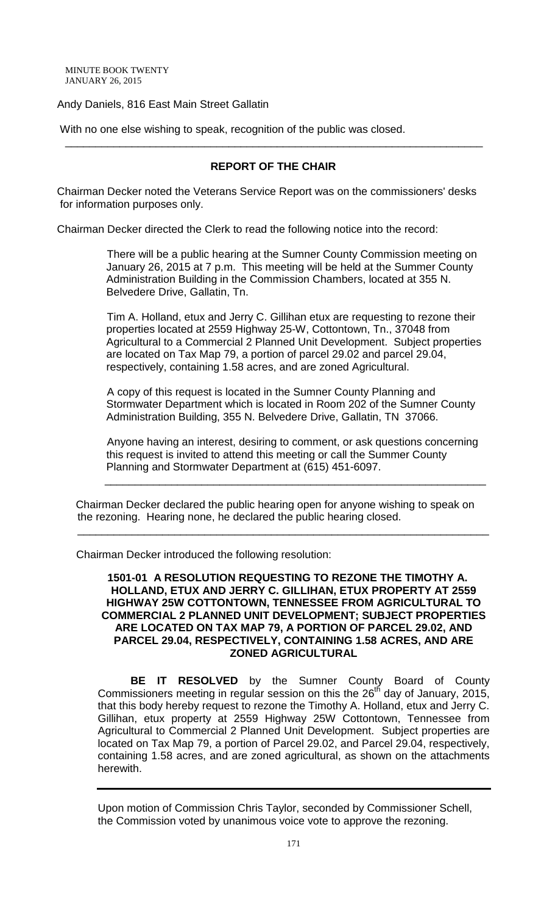### Andy Daniels, 816 East Main Street Gallatin

With no one else wishing to speak, recognition of the public was closed.

### **REPORT OF THE CHAIR**

\_\_\_\_\_\_\_\_\_\_\_\_\_\_\_\_\_\_\_\_\_\_\_\_\_\_\_\_\_\_\_\_\_\_\_\_\_\_\_\_\_\_\_\_\_\_\_\_\_\_\_\_\_\_\_\_\_\_\_\_\_\_\_\_\_\_\_\_\_

Chairman Decker noted the Veterans Service Report was on the commissioners' desks for information purposes only.

Chairman Decker directed the Clerk to read the following notice into the record:

 There will be a public hearing at the Sumner County Commission meeting on January 26, 2015 at 7 p.m. This meeting will be held at the Summer County Administration Building in the Commission Chambers, located at 355 N. Belvedere Drive, Gallatin, Tn.

 Tim A. Holland, etux and Jerry C. Gillihan etux are requesting to rezone their properties located at 2559 Highway 25-W, Cottontown, Tn., 37048 from Agricultural to a Commercial 2 Planned Unit Development. Subject properties are located on Tax Map 79, a portion of parcel 29.02 and parcel 29.04, respectively, containing 1.58 acres, and are zoned Agricultural.

 A copy of this request is located in the Sumner County Planning and Stormwater Department which is located in Room 202 of the Sumner County Administration Building, 355 N. Belvedere Drive, Gallatin, TN 37066.

 Anyone having an interest, desiring to comment, or ask questions concerning this request is invited to attend this meeting or call the Summer County Planning and Stormwater Department at (615) 451-6097.

 Chairman Decker declared the public hearing open for anyone wishing to speak on the rezoning. Hearing none, he declared the public hearing closed.

\_\_\_\_\_\_\_\_\_\_\_\_\_\_\_\_\_\_\_\_\_\_\_\_\_\_\_\_\_\_\_\_\_\_\_\_\_\_\_\_\_\_\_\_\_\_\_\_\_\_\_\_\_\_\_\_\_\_\_\_\_\_\_

\_\_\_\_\_\_\_\_\_\_\_\_\_\_\_\_\_\_\_\_\_\_\_\_\_\_\_\_\_\_\_\_\_\_\_\_\_\_\_\_\_\_\_\_\_\_\_\_\_\_\_\_\_\_\_\_\_\_\_\_\_\_\_\_\_\_\_\_

Chairman Decker introduced the following resolution:

#### **1501-01 A RESOLUTION REQUESTING TO REZONE THE TIMOTHY A. HOLLAND, ETUX AND JERRY C. GILLIHAN, ETUX PROPERTY AT 2559 HIGHWAY 25W COTTONTOWN, TENNESSEE FROM AGRICULTURAL TO COMMERCIAL 2 PLANNED UNIT DEVELOPMENT; SUBJECT PROPERTIES ARE LOCATED ON TAX MAP 79, A PORTION OF PARCEL 29.02, AND PARCEL 29.04, RESPECTIVELY, CONTAINING 1.58 ACRES, AND ARE ZONED AGRICULTURAL**

**BE IT RESOLVED** by the Sumner County Board of County Commissioners meeting in regular session on this the  $26<sup>th</sup>$  day of January, 2015, that this body hereby request to rezone the Timothy A. Holland, etux and Jerry C. Gillihan, etux property at 2559 Highway 25W Cottontown, Tennessee from Agricultural to Commercial 2 Planned Unit Development. Subject properties are located on Tax Map 79, a portion of Parcel 29.02, and Parcel 29.04, respectively, containing 1.58 acres, and are zoned agricultural, as shown on the attachments herewith.

Upon motion of Commission Chris Taylor, seconded by Commissioner Schell, the Commission voted by unanimous voice vote to approve the rezoning.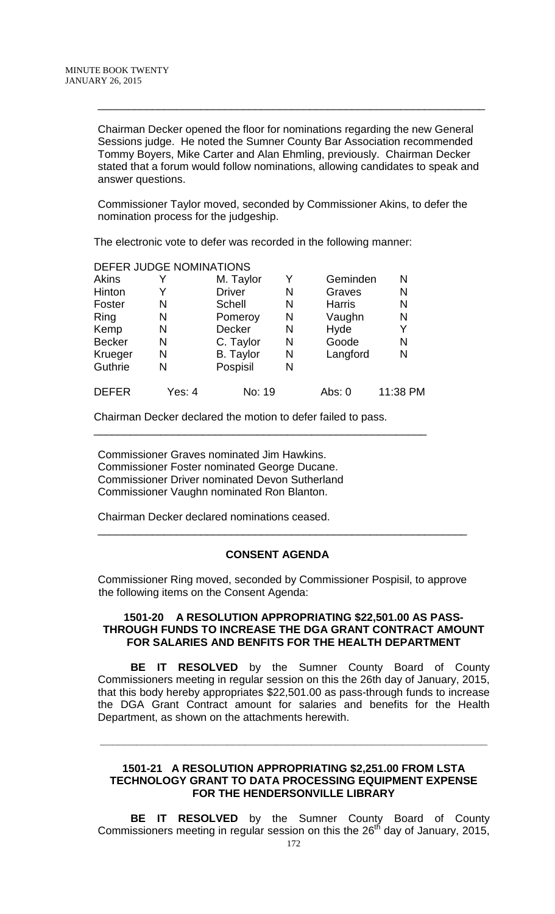Chairman Decker opened the floor for nominations regarding the new General Sessions judge. He noted the Sumner County Bar Association recommended Tommy Boyers, Mike Carter and Alan Ehmling, previously. Chairman Decker stated that a forum would follow nominations, allowing candidates to speak and answer questions.

\_\_\_\_\_\_\_\_\_\_\_\_\_\_\_\_\_\_\_\_\_\_\_\_\_\_\_\_\_\_\_\_\_\_\_\_\_\_\_\_\_\_\_\_\_\_\_\_\_\_\_\_\_\_\_\_\_\_\_\_\_\_\_\_

Commissioner Taylor moved, seconded by Commissioner Akins, to defer the nomination process for the judgeship.

The electronic vote to defer was recorded in the following manner:

DEFER JUDGE NOMINATIONS

|               | DEFER JUDGE NOMINATIONS |                  |   |               |          |
|---------------|-------------------------|------------------|---|---------------|----------|
| <b>Akins</b>  |                         | M. Taylor        | Y | Geminden      | N        |
| Hinton        |                         | <b>Driver</b>    | N | Graves        | Ν        |
| Foster        | N                       | Schell           | N | <b>Harris</b> | N        |
| Ring          | N                       | Pomeroy          | N | Vaughn        | N        |
| Kemp          | N                       | Decker           | N | Hyde          | Υ        |
| <b>Becker</b> | N                       | C. Taylor        | N | Goode         | N        |
| Krueger       | N                       | <b>B.</b> Taylor | N | Langford      | N        |
| Guthrie       | N                       | Pospisil         | N |               |          |
| <b>DEFER</b>  | Yes: 4                  | No: 19           |   | Abs: 0        | 11:38 PM |

Chairman Decker declared the motion to defer failed to pass.

\_\_\_\_\_\_\_\_\_\_\_\_\_\_\_\_\_\_\_\_\_\_\_\_\_\_\_\_\_\_\_\_\_\_\_\_\_\_\_\_\_\_\_\_\_\_\_\_\_\_\_\_\_\_\_

Commissioner Graves nominated Jim Hawkins. Commissioner Foster nominated George Ducane. Commissioner Driver nominated Devon Sutherland Commissioner Vaughn nominated Ron Blanton.

Chairman Decker declared nominations ceased.

### **CONSENT AGENDA**

\_\_\_\_\_\_\_\_\_\_\_\_\_\_\_\_\_\_\_\_\_\_\_\_\_\_\_\_\_\_\_\_\_\_\_\_\_\_\_\_\_\_\_\_\_\_\_\_\_\_\_\_\_\_\_\_\_\_\_\_\_

Commissioner Ring moved, seconded by Commissioner Pospisil, to approve the following items on the Consent Agenda:

#### **1501-20 A RESOLUTION APPROPRIATING \$22,501.00 AS PASS-THROUGH FUNDS TO INCREASE THE DGA GRANT CONTRACT AMOUNT FOR SALARIES AND BENFITS FOR THE HEALTH DEPARTMENT**

**BE IT RESOLVED** by the Sumner County Board of County Commissioners meeting in regular session on this the 26th day of January, 2015, that this body hereby appropriates \$22,501.00 as pass-through funds to increase the DGA Grant Contract amount for salaries and benefits for the Health Department, as shown on the attachments herewith.

### **1501-21 A RESOLUTION APPROPRIATING \$2,251.00 FROM LSTA TECHNOLOGY GRANT TO DATA PROCESSING EQUIPMENT EXPENSE FOR THE HENDERSONVILLE LIBRARY**

**\_\_\_\_\_\_\_\_\_\_\_\_\_\_\_\_\_\_\_\_\_\_\_\_\_\_\_\_\_\_\_\_\_\_\_\_\_\_\_\_\_\_\_\_\_\_\_\_\_\_\_\_\_\_\_\_\_\_\_\_\_\_\_\_**

**BE IT RESOLVED** by the Sumner County Board of County Commissioners meeting in regular session on this the  $26<sup>th</sup>$  day of January, 2015,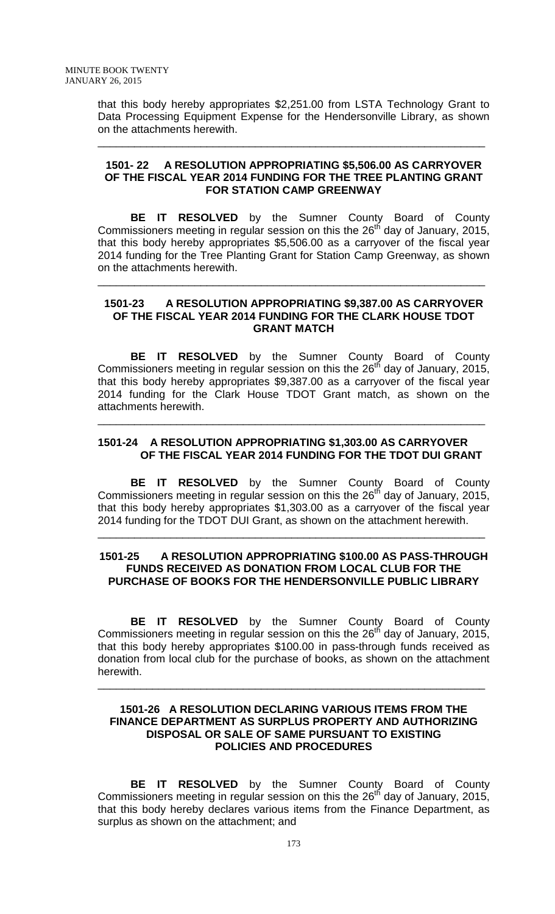that this body hereby appropriates \$2,251.00 from LSTA Technology Grant to Data Processing Equipment Expense for the Hendersonville Library, as shown on the attachments herewith.

\_\_\_\_\_\_\_\_\_\_\_\_\_\_\_\_\_\_\_\_\_\_\_\_\_\_\_\_\_\_\_\_\_\_\_\_\_\_\_\_\_\_\_\_\_\_\_\_\_\_\_\_\_\_\_\_\_\_\_\_\_\_\_\_

### **1501- 22 A RESOLUTION APPROPRIATING \$5,506.00 AS CARRYOVER OF THE FISCAL YEAR 2014 FUNDING FOR THE TREE PLANTING GRANT FOR STATION CAMP GREENWAY**

**BE IT RESOLVED** by the Sumner County Board of County Commissioners meeting in regular session on this the  $26<sup>th</sup>$  day of January, 2015, that this body hereby appropriates \$5,506.00 as a carryover of the fiscal year 2014 funding for the Tree Planting Grant for Station Camp Greenway, as shown on the attachments herewith.

### **1501-23 A RESOLUTION APPROPRIATING \$9,387.00 AS CARRYOVER OF THE FISCAL YEAR 2014 FUNDING FOR THE CLARK HOUSE TDOT GRANT MATCH**

\_\_\_\_\_\_\_\_\_\_\_\_\_\_\_\_\_\_\_\_\_\_\_\_\_\_\_\_\_\_\_\_\_\_\_\_\_\_\_\_\_\_\_\_\_\_\_\_\_\_\_\_\_\_\_\_\_\_\_\_\_\_\_\_

**BE IT RESOLVED** by the Sumner County Board of County Commissioners meeting in regular session on this the  $26<sup>th</sup>$  day of January, 2015, that this body hereby appropriates \$9,387.00 as a carryover of the fiscal year 2014 funding for the Clark House TDOT Grant match, as shown on the attachments herewith.

# **1501-24 A RESOLUTION APPROPRIATING \$1,303.00 AS CARRYOVER OF THE FISCAL YEAR 2014 FUNDING FOR THE TDOT DUI GRANT**

\_\_\_\_\_\_\_\_\_\_\_\_\_\_\_\_\_\_\_\_\_\_\_\_\_\_\_\_\_\_\_\_\_\_\_\_\_\_\_\_\_\_\_\_\_\_\_\_\_\_\_\_\_\_\_\_\_\_\_\_\_\_\_\_

**BE IT RESOLVED** by the Sumner County Board of County Commissioners meeting in regular session on this the  $26<sup>th</sup>$  day of January, 2015, that this body hereby appropriates \$1,303.00 as a carryover of the fiscal year 2014 funding for the TDOT DUI Grant, as shown on the attachment herewith.

\_\_\_\_\_\_\_\_\_\_\_\_\_\_\_\_\_\_\_\_\_\_\_\_\_\_\_\_\_\_\_\_\_\_\_\_\_\_\_\_\_\_\_\_\_\_\_\_\_\_\_\_\_\_\_\_\_\_\_\_\_\_\_\_

### **1501-25 A RESOLUTION APPROPRIATING \$100.00 AS PASS-THROUGH FUNDS RECEIVED AS DONATION FROM LOCAL CLUB FOR THE PURCHASE OF BOOKS FOR THE HENDERSONVILLE PUBLIC LIBRARY**

**BE IT RESOLVED** by the Sumner County Board of County Commissioners meeting in regular session on this the  $26<sup>th</sup>$  day of January, 2015, that this body hereby appropriates \$100.00 in pass-through funds received as donation from local club for the purchase of books, as shown on the attachment herewith.

\_\_\_\_\_\_\_\_\_\_\_\_\_\_\_\_\_\_\_\_\_\_\_\_\_\_\_\_\_\_\_\_\_\_\_\_\_\_\_\_\_\_\_\_\_\_\_\_\_\_\_\_\_\_\_\_\_\_\_\_\_\_\_\_

## **1501-26 A RESOLUTION DECLARING VARIOUS ITEMS FROM THE FINANCE DEPARTMENT AS SURPLUS PROPERTY AND AUTHORIZING DISPOSAL OR SALE OF SAME PURSUANT TO EXISTING POLICIES AND PROCEDURES**

**BE IT RESOLVED** by the Sumner County Board of County Commissioners meeting in regular session on this the  $26<sup>th</sup>$  day of January, 2015, that this body hereby declares various items from the Finance Department, as surplus as shown on the attachment; and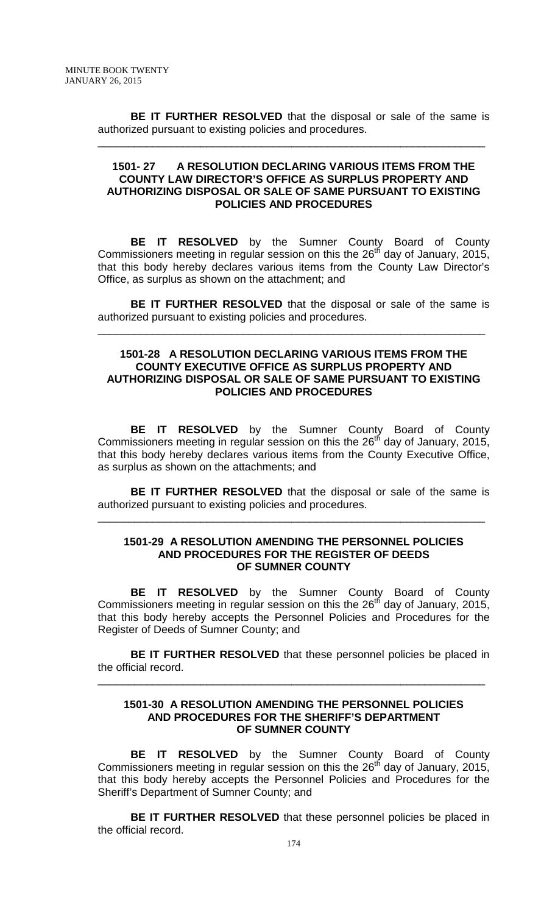**BE IT FURTHER RESOLVED** that the disposal or sale of the same is authorized pursuant to existing policies and procedures.

\_\_\_\_\_\_\_\_\_\_\_\_\_\_\_\_\_\_\_\_\_\_\_\_\_\_\_\_\_\_\_\_\_\_\_\_\_\_\_\_\_\_\_\_\_\_\_\_\_\_\_\_\_\_\_\_\_\_\_\_\_\_\_\_

### **1501- 27 A RESOLUTION DECLARING VARIOUS ITEMS FROM THE COUNTY LAW DIRECTOR'S OFFICE AS SURPLUS PROPERTY AND AUTHORIZING DISPOSAL OR SALE OF SAME PURSUANT TO EXISTING POLICIES AND PROCEDURES**

**BE IT RESOLVED** by the Sumner County Board of County Commissioners meeting in regular session on this the  $26<sup>th</sup>$  day of January, 2015, that this body hereby declares various items from the County Law Director's Office, as surplus as shown on the attachment; and

**BE IT FURTHER RESOLVED** that the disposal or sale of the same is authorized pursuant to existing policies and procedures.

\_\_\_\_\_\_\_\_\_\_\_\_\_\_\_\_\_\_\_\_\_\_\_\_\_\_\_\_\_\_\_\_\_\_\_\_\_\_\_\_\_\_\_\_\_\_\_\_\_\_\_\_\_\_\_\_\_\_\_\_\_\_\_\_

### **1501-28 A RESOLUTION DECLARING VARIOUS ITEMS FROM THE COUNTY EXECUTIVE OFFICE AS SURPLUS PROPERTY AND AUTHORIZING DISPOSAL OR SALE OF SAME PURSUANT TO EXISTING POLICIES AND PROCEDURES**

**BE IT RESOLVED** by the Sumner County Board of County Commissioners meeting in regular session on this the  $26<sup>th</sup>$  day of January, 2015, that this body hereby declares various items from the County Executive Office, as surplus as shown on the attachments; and

**BE IT FURTHER RESOLVED** that the disposal or sale of the same is authorized pursuant to existing policies and procedures.

\_\_\_\_\_\_\_\_\_\_\_\_\_\_\_\_\_\_\_\_\_\_\_\_\_\_\_\_\_\_\_\_\_\_\_\_\_\_\_\_\_\_\_\_\_\_\_\_\_\_\_\_\_\_\_\_\_\_\_\_\_\_\_\_

#### **1501-29 A RESOLUTION AMENDING THE PERSONNEL POLICIES AND PROCEDURES FOR THE REGISTER OF DEEDS OF SUMNER COUNTY**

**BE IT RESOLVED** by the Sumner County Board of County Commissioners meeting in regular session on this the  $26<sup>th</sup>$  day of January, 2015, that this body hereby accepts the Personnel Policies and Procedures for the Register of Deeds of Sumner County; and

**BE IT FURTHER RESOLVED** that these personnel policies be placed in the official record.

\_\_\_\_\_\_\_\_\_\_\_\_\_\_\_\_\_\_\_\_\_\_\_\_\_\_\_\_\_\_\_\_\_\_\_\_\_\_\_\_\_\_\_\_\_\_\_\_\_\_\_\_\_\_\_\_\_\_\_\_\_\_\_\_

### **1501-30 A RESOLUTION AMENDING THE PERSONNEL POLICIES AND PROCEDURES FOR THE SHERIFF'S DEPARTMENT OF SUMNER COUNTY**

**BE IT RESOLVED** by the Sumner County Board of County Commissioners meeting in regular session on this the  $26<sup>th</sup>$  day of January, 2015, that this body hereby accepts the Personnel Policies and Procedures for the Sheriff's Department of Sumner County; and

**BE IT FURTHER RESOLVED** that these personnel policies be placed in the official record.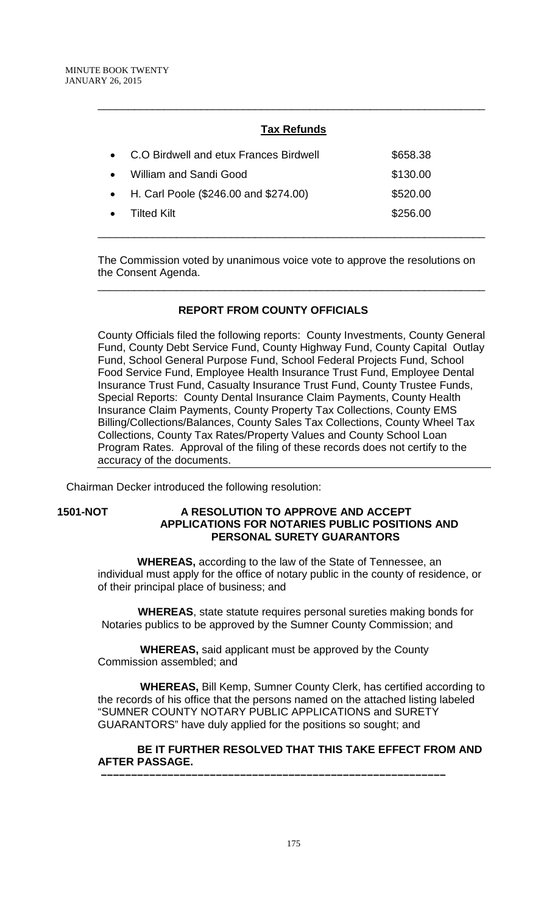# **Tax Refunds**

\_\_\_\_\_\_\_\_\_\_\_\_\_\_\_\_\_\_\_\_\_\_\_\_\_\_\_\_\_\_\_\_\_\_\_\_\_\_\_\_\_\_\_\_\_\_\_\_\_\_\_\_\_\_\_\_\_\_\_\_\_\_\_\_

| • C.O Birdwell and etux Frances Birdwell | \$658.38 |
|------------------------------------------|----------|
| • William and Sandi Good                 | \$130.00 |
| • H. Carl Poole (\$246.00 and \$274.00)  | \$520.00 |
| $\bullet$ Tilted Kilt                    | \$256.00 |
|                                          |          |

The Commission voted by unanimous voice vote to approve the resolutions on the Consent Agenda.

\_\_\_\_\_\_\_\_\_\_\_\_\_\_\_\_\_\_\_\_\_\_\_\_\_\_\_\_\_\_\_\_\_\_\_\_\_\_\_\_\_\_\_\_\_\_\_\_\_\_\_\_\_\_\_\_\_\_\_\_\_\_\_\_

\_\_\_\_\_\_\_\_\_\_\_\_\_\_\_\_\_\_\_\_\_\_\_\_\_\_\_\_\_\_\_\_\_\_\_\_\_\_\_\_\_\_\_\_\_\_\_\_\_\_\_\_\_\_\_\_\_\_\_\_\_\_\_\_

# **REPORT FROM COUNTY OFFICIALS**

County Officials filed the following reports: County Investments, County General Fund, County Debt Service Fund, County Highway Fund, County Capital Outlay Fund, School General Purpose Fund, School Federal Projects Fund, School Food Service Fund, Employee Health Insurance Trust Fund, Employee Dental Insurance Trust Fund, Casualty Insurance Trust Fund, County Trustee Funds, Special Reports: County Dental Insurance Claim Payments, County Health Insurance Claim Payments, County Property Tax Collections, County EMS Billing/Collections/Balances, County Sales Tax Collections, County Wheel Tax Collections, County Tax Rates/Property Values and County School Loan Program Rates. Approval of the filing of these records does not certify to the accuracy of the documents.

Chairman Decker introduced the following resolution:

### **1501-NOT A RESOLUTION TO APPROVE AND ACCEPT APPLICATIONS FOR NOTARIES PUBLIC POSITIONS AND PERSONAL SURETY GUARANTORS**

 **WHEREAS,** according to the law of the State of Tennessee, an individual must apply for the office of notary public in the county of residence, or of their principal place of business; and

 **WHEREAS**, state statute requires personal sureties making bonds for Notaries publics to be approved by the Sumner County Commission; and

 **WHEREAS,** said applicant must be approved by the County Commission assembled; and

 **–––––––––––––––––––––––––––––––––––––––––––––––––––––––––**

 **WHEREAS,** Bill Kemp, Sumner County Clerk, has certified according to the records of his office that the persons named on the attached listing labeled "SUMNER COUNTY NOTARY PUBLIC APPLICATIONS and SURETY GUARANTORS" have duly applied for the positions so sought; and

# **BE IT FURTHER RESOLVED THAT THIS TAKE EFFECT FROM AND AFTER PASSAGE.**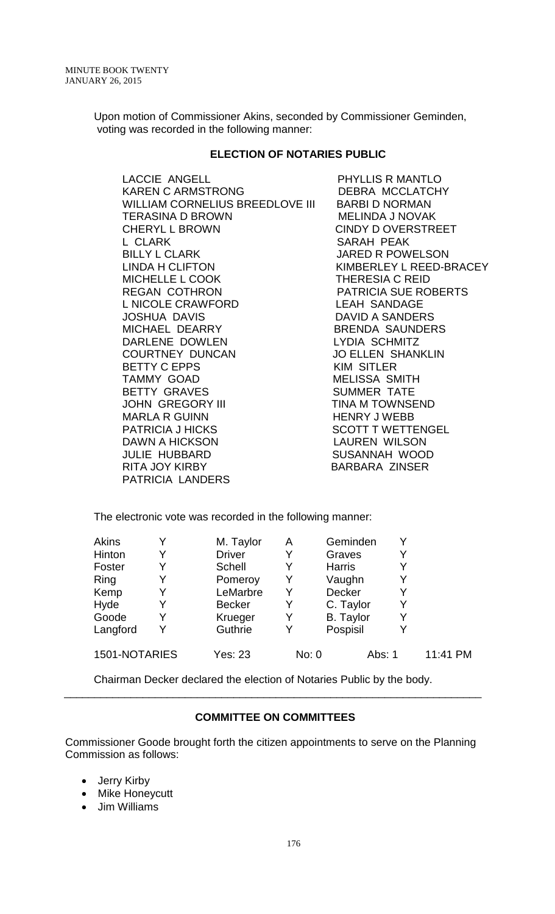Upon motion of Commissioner Akins, seconded by Commissioner Geminden, voting was recorded in the following manner:

### **ELECTION OF NOTARIES PUBLIC**

LACCIE ANGELL PHYLLIS R MANTLO KAREN C ARMSTRONG DEBRA MCCLATCHY WILLIAM CORNELIUS BREEDLOVE III BARBI D NORMAN TERASINA D BROWN MELINDA J NOVAK CHERYL L BROWN CINDY D OVERSTREET L CLARK SARAH PEAK LINDA H CLIFTON KIMBERLEY L REED-BRACEY MICHELLE L COOK THERESIA C REID REGAN COTHRON PATRICIA SUE ROBERTS L NICOLE CRAWFORD LEAH SANDAGE JOSHUA DAVIS DAVID A SANDERS MICHAEL DEARRY BRENDA SAUNDERS DARLENE DOWLEN LYDIA SCHMITZ COURTNEY DUNCAN JO ELLEN SHANKLIN BETTY C EPPS KIM SITLER TAMMY GOAD MELISSA SMITH BETTY GRAVES SUMMER TATE JOHN GREGORY III TINA M TOWNSEND MARLA R GUINN HENRY J WEBB PATRICIA J HICKS SCOTT T WETTENGEL JULIE HUBBARD SUSANNAH WOOD RITA JOY KIRBY BARBARA ZINSER PATRICIA LANDERS

JARED R POWELSON LAUREN WILSON

The electronic vote was recorded in the following manner:

| <b>Akins</b>  | M. Taylor      | А | Geminden         |          |
|---------------|----------------|---|------------------|----------|
| Hinton        | <b>Driver</b>  |   | Graves           |          |
| Foster        | Schell         |   | <b>Harris</b>    |          |
| Ring          | Pomeroy        | Y | Vaughn           |          |
| Kemp          | LeMarbre       | Y | <b>Decker</b>    |          |
| Hyde          | <b>Becker</b>  | Y | C. Taylor        |          |
| Goode         | Krueger        | Y | <b>B.</b> Taylor |          |
| Langford      | Guthrie        | Y | Pospisil         |          |
| 1501-NOTARIES | <b>Yes: 23</b> |   | Abs: 1<br>No: 0  | 11:41 PM |

Chairman Decker declared the election of Notaries Public by the body.

# **COMMITTEE ON COMMITTEES**

\_\_\_\_\_\_\_\_\_\_\_\_\_\_\_\_\_\_\_\_\_\_\_\_\_\_\_\_\_\_\_\_\_\_\_\_\_\_\_\_\_\_\_\_\_\_\_\_\_\_\_\_\_\_\_\_\_\_\_\_\_\_\_\_\_\_\_\_\_

Commissioner Goode brought forth the citizen appointments to serve on the Planning Commission as follows:

- Jerry Kirby
- Mike Honeycutt
- Jim Williams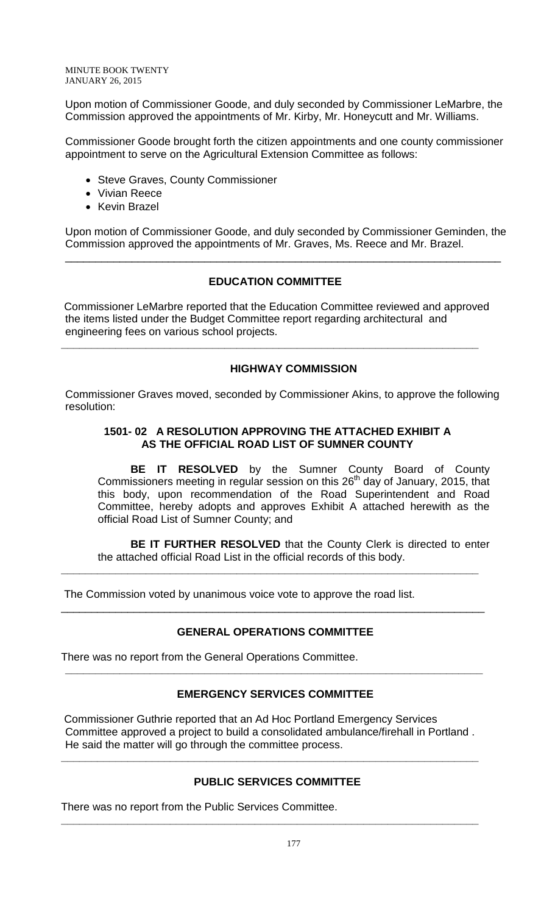Upon motion of Commissioner Goode, and duly seconded by Commissioner LeMarbre, the Commission approved the appointments of Mr. Kirby, Mr. Honeycutt and Mr. Williams.

Commissioner Goode brought forth the citizen appointments and one county commissioner appointment to serve on the Agricultural Extension Committee as follows:

- Steve Graves, County Commissioner
- Vivian Reece
- Kevin Brazel

Upon motion of Commissioner Goode, and duly seconded by Commissioner Geminden, the Commission approved the appointments of Mr. Graves, Ms. Reece and Mr. Brazel.

\_\_\_\_\_\_\_\_\_\_\_\_\_\_\_\_\_\_\_\_\_\_\_\_\_\_\_\_\_\_\_\_\_\_\_\_\_\_\_\_\_\_\_\_\_\_\_\_\_\_\_\_\_\_\_\_\_\_\_\_\_\_\_\_\_\_\_\_\_\_\_\_

# **EDUCATION COMMITTEE**

Commissioner LeMarbre reported that the Education Committee reviewed and approved the items listed under the Budget Committee report regarding architectural and engineering fees on various school projects.

**\_\_\_\_\_\_\_\_\_\_\_\_\_\_\_\_\_\_\_\_\_\_\_\_\_\_\_\_\_\_\_\_\_\_\_\_\_\_\_\_\_\_\_\_\_\_\_\_\_\_\_\_\_\_\_\_\_\_\_\_\_\_\_\_\_\_\_\_\_**

# **HIGHWAY COMMISSION**

Commissioner Graves moved, seconded by Commissioner Akins, to approve the following resolution:

# **1501- 02 A RESOLUTION APPROVING THE ATTACHED EXHIBIT A AS THE OFFICIAL ROAD LIST OF SUMNER COUNTY**

**BE IT RESOLVED** by the Sumner County Board of County Commissioners meeting in regular session on this  $26<sup>th</sup>$  day of January, 2015, that this body, upon recommendation of the Road Superintendent and Road Committee, hereby adopts and approves Exhibit A attached herewith as the official Road List of Sumner County; and

**BE IT FURTHER RESOLVED** that the County Clerk is directed to enter the attached official Road List in the official records of this body.

The Commission voted by unanimous voice vote to approve the road list.

# **GENERAL OPERATIONS COMMITTEE**

\_\_\_\_\_\_\_\_\_\_\_\_\_\_\_\_\_\_\_\_\_\_\_\_\_\_\_\_\_\_\_\_\_\_\_\_\_\_\_\_\_\_\_\_\_\_\_\_\_\_\_\_\_\_\_\_\_\_\_\_\_\_\_\_\_\_\_\_\_\_

**\_\_\_\_\_\_\_\_\_\_\_\_\_\_\_\_\_\_\_\_\_\_\_\_\_\_\_\_\_\_\_\_\_\_\_\_\_\_\_\_\_\_\_\_\_\_\_\_\_\_\_\_\_\_\_\_\_\_\_\_\_\_\_\_\_\_\_\_\_**

There was no report from the General Operations Committee.

# **EMERGENCY SERVICES COMMITTEE**

**\_\_\_\_\_\_\_\_\_\_\_\_\_\_\_\_\_\_\_\_\_\_\_\_\_\_\_\_\_\_\_\_\_\_\_\_\_\_\_\_\_\_\_\_\_\_\_\_\_\_\_\_\_\_\_\_\_\_\_\_\_\_\_\_\_\_\_\_\_**

Commissioner Guthrie reported that an Ad Hoc Portland Emergency Services Committee approved a project to build a consolidated ambulance/firehall in Portland . He said the matter will go through the committee process.

**\_\_\_\_\_\_\_\_\_\_\_\_\_\_\_\_\_\_\_\_\_\_\_\_\_\_\_\_\_\_\_\_\_\_\_\_\_\_\_\_\_\_\_\_\_\_\_\_\_\_\_\_\_\_\_\_\_\_\_\_\_\_\_\_\_\_\_\_\_**

**\_\_\_\_\_\_\_\_\_\_\_\_\_\_\_\_\_\_\_\_\_\_\_\_\_\_\_\_\_\_\_\_\_\_\_\_\_\_\_\_\_\_\_\_\_\_\_\_\_\_\_\_\_\_\_\_\_\_\_\_\_\_\_\_\_\_\_\_\_**

# **PUBLIC SERVICES COMMITTEE**

There was no report from the Public Services Committee.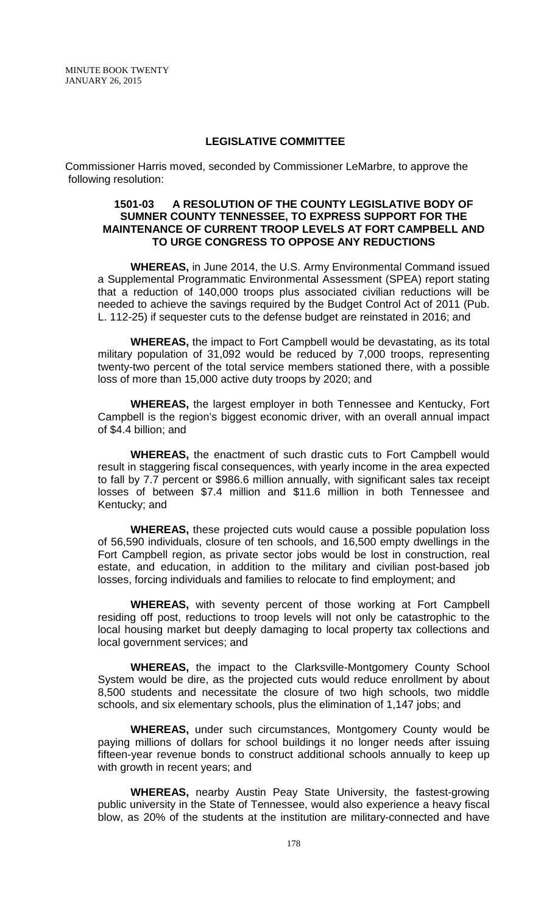#### **LEGISLATIVE COMMITTEE**

Commissioner Harris moved, seconded by Commissioner LeMarbre, to approve the following resolution:

#### **1501-03 A RESOLUTION OF THE COUNTY LEGISLATIVE BODY OF SUMNER COUNTY TENNESSEE, TO EXPRESS SUPPORT FOR THE MAINTENANCE OF CURRENT TROOP LEVELS AT FORT CAMPBELL AND TO URGE CONGRESS TO OPPOSE ANY REDUCTIONS**

**WHEREAS,** in June 2014, the U.S. Army Environmental Command issued a Supplemental Programmatic Environmental Assessment (SPEA) report stating that a reduction of 140,000 troops plus associated civilian reductions will be needed to achieve the savings required by the Budget Control Act of 2011 (Pub. L. 112-25) if sequester cuts to the defense budget are reinstated in 2016; and

**WHEREAS,** the impact to Fort Campbell would be devastating, as its total military population of 31,092 would be reduced by 7,000 troops, representing twenty-two percent of the total service members stationed there, with a possible loss of more than 15,000 active duty troops by 2020; and

**WHEREAS,** the largest employer in both Tennessee and Kentucky, Fort Campbell is the region's biggest economic driver, with an overall annual impact of \$4.4 billion; and

**WHEREAS,** the enactment of such drastic cuts to Fort Campbell would result in staggering fiscal consequences, with yearly income in the area expected to fall by 7.7 percent or \$986.6 million annually, with significant sales tax receipt losses of between \$7.4 million and \$11.6 million in both Tennessee and Kentucky; and

**WHEREAS,** these projected cuts would cause a possible population loss of 56,590 individuals, closure of ten schools, and 16,500 empty dwellings in the Fort Campbell region, as private sector jobs would be lost in construction, real estate, and education, in addition to the military and civilian post-based job losses, forcing individuals and families to relocate to find employment; and

**WHEREAS,** with seventy percent of those working at Fort Campbell residing off post, reductions to troop levels will not only be catastrophic to the local housing market but deeply damaging to local property tax collections and local government services; and

**WHEREAS,** the impact to the Clarksville-Montgomery County School System would be dire, as the projected cuts would reduce enrollment by about 8,500 students and necessitate the closure of two high schools, two middle schools, and six elementary schools, plus the elimination of 1,147 jobs; and

**WHEREAS,** under such circumstances, Montgomery County would be paying millions of dollars for school buildings it no longer needs after issuing fifteen-year revenue bonds to construct additional schools annually to keep up with growth in recent years; and

**WHEREAS,** nearby Austin Peay State University, the fastest-growing public university in the State of Tennessee, would also experience a heavy fiscal blow, as 20% of the students at the institution are military-connected and have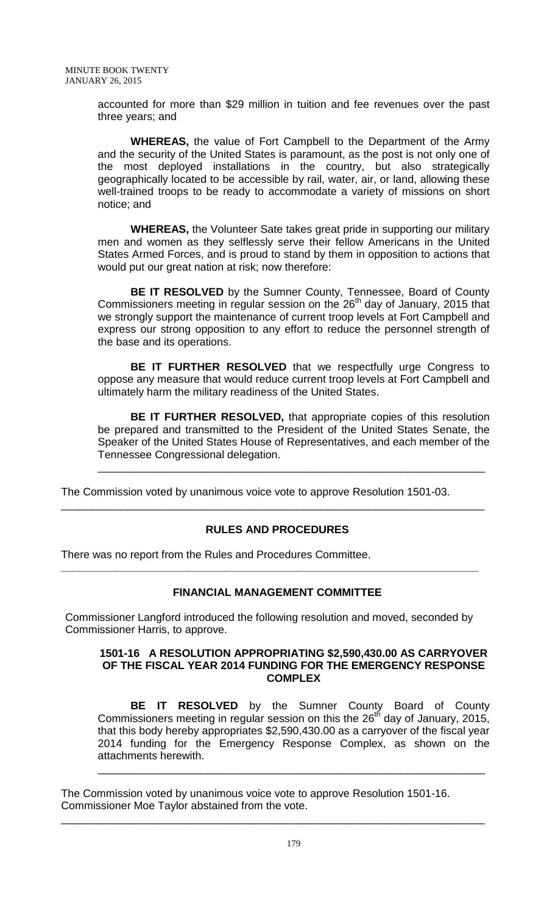accounted for more than \$29 million in tuition and fee revenues over the past three years; and

**WHEREAS,** the value of Fort Campbell to the Department of the Army and the security of the United States is paramount, as the post is not only one of the most deployed installations in the country, but also strategically geographically located to be accessible by rail, water, air, or land, allowing these well-trained troops to be ready to accommodate a variety of missions on short notice; and

**WHEREAS,** the Volunteer Sate takes great pride in supporting our military men and women as they selflessly serve their fellow Americans in the United States Armed Forces, and is proud to stand by them in opposition to actions that would put our great nation at risk; now therefore:

**BE IT RESOLVED** by the Sumner County, Tennessee, Board of County Commissioners meeting in regular session on the  $26<sup>th</sup>$  day of January, 2015 that we strongly support the maintenance of current troop levels at Fort Campbell and express our strong opposition to any effort to reduce the personnel strength of the base and its operations.

**BE IT FURTHER RESOLVED** that we respectfully urge Congress to oppose any measure that would reduce current troop levels at Fort Campbell and ultimately harm the military readiness of the United States.

**BE IT FURTHER RESOLVED,** that appropriate copies of this resolution be prepared and transmitted to the President of the United States Senate, the Speaker of the United States House of Representatives, and each member of the Tennessee Congressional delegation.

\_\_\_\_\_\_\_\_\_\_\_\_\_\_\_\_\_\_\_\_\_\_\_\_\_\_\_\_\_\_\_\_\_\_\_\_\_\_\_\_\_\_\_\_\_\_\_\_\_\_\_\_\_\_\_\_\_\_\_\_\_\_\_\_

The Commission voted by unanimous voice vote to approve Resolution 1501-03.

# **RULES AND PROCEDURES**

\_\_\_\_\_\_\_\_\_\_\_\_\_\_\_\_\_\_\_\_\_\_\_\_\_\_\_\_\_\_\_\_\_\_\_\_\_\_\_\_\_\_\_\_\_\_\_\_\_\_\_\_\_\_\_\_\_\_\_\_\_\_\_\_\_\_\_\_\_\_

There was no report from the Rules and Procedures Committee.

# **FINANCIAL MANAGEMENT COMMITTEE**

Commissioner Langford introduced the following resolution and moved, seconded by Commissioner Harris, to approve.

**\_\_\_\_\_\_\_\_\_\_\_\_\_\_\_\_\_\_\_\_\_\_\_\_\_\_\_\_\_\_\_\_\_\_\_\_\_\_\_\_\_\_\_\_\_\_\_\_\_\_\_\_\_\_\_\_\_\_\_\_\_\_\_\_\_\_\_\_\_**

#### **1501-16 A RESOLUTION APPROPRIATING \$2,590,430.00 AS CARRYOVER OF THE FISCAL YEAR 2014 FUNDING FOR THE EMERGENCY RESPONSE COMPLEX**

**BE IT RESOLVED** by the Sumner County Board of County Commissioners meeting in regular session on this the  $26<sup>th</sup>$  day of January, 2015, that this body hereby appropriates \$2,590,430.00 as a carryover of the fiscal year 2014 funding for the Emergency Response Complex, as shown on the attachments herewith.

\_\_\_\_\_\_\_\_\_\_\_\_\_\_\_\_\_\_\_\_\_\_\_\_\_\_\_\_\_\_\_\_\_\_\_\_\_\_\_\_\_\_\_\_\_\_\_\_\_\_\_\_\_\_\_\_\_\_\_\_\_\_\_\_

The Commission voted by unanimous voice vote to approve Resolution 1501-16. Commissioner Moe Taylor abstained from the vote.

\_\_\_\_\_\_\_\_\_\_\_\_\_\_\_\_\_\_\_\_\_\_\_\_\_\_\_\_\_\_\_\_\_\_\_\_\_\_\_\_\_\_\_\_\_\_\_\_\_\_\_\_\_\_\_\_\_\_\_\_\_\_\_\_\_\_\_\_\_\_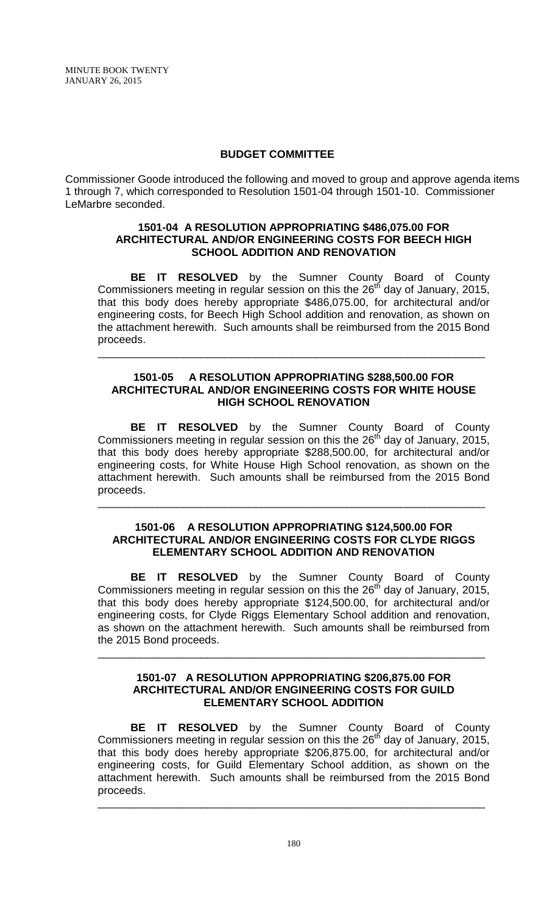## **BUDGET COMMITTEE**

Commissioner Goode introduced the following and moved to group and approve agenda items 1 through 7, which corresponded to Resolution 1501-04 through 1501-10. Commissioner LeMarbre seconded.

## **1501-04 A RESOLUTION APPROPRIATING \$486,075.00 FOR ARCHITECTURAL AND/OR ENGINEERING COSTS FOR BEECH HIGH SCHOOL ADDITION AND RENOVATION**

**BE IT RESOLVED** by the Sumner County Board of County Commissioners meeting in regular session on this the  $26<sup>th</sup>$  day of January, 2015, that this body does hereby appropriate \$486,075.00, for architectural and/or engineering costs, for Beech High School addition and renovation, as shown on the attachment herewith. Such amounts shall be reimbursed from the 2015 Bond proceeds.

## **1501-05 A RESOLUTION APPROPRIATING \$288,500.00 FOR ARCHITECTURAL AND/OR ENGINEERING COSTS FOR WHITE HOUSE HIGH SCHOOL RENOVATION**

\_\_\_\_\_\_\_\_\_\_\_\_\_\_\_\_\_\_\_\_\_\_\_\_\_\_\_\_\_\_\_\_\_\_\_\_\_\_\_\_\_\_\_\_\_\_\_\_\_\_\_\_\_\_\_\_\_\_\_\_\_\_\_\_

**BE IT RESOLVED** by the Sumner County Board of County Commissioners meeting in regular session on this the  $26<sup>th</sup>$  day of January, 2015, that this body does hereby appropriate \$288,500.00, for architectural and/or engineering costs, for White House High School renovation, as shown on the attachment herewith. Such amounts shall be reimbursed from the 2015 Bond proceeds.

### **1501-06 A RESOLUTION APPROPRIATING \$124,500.00 FOR ARCHITECTURAL AND/OR ENGINEERING COSTS FOR CLYDE RIGGS ELEMENTARY SCHOOL ADDITION AND RENOVATION**

\_\_\_\_\_\_\_\_\_\_\_\_\_\_\_\_\_\_\_\_\_\_\_\_\_\_\_\_\_\_\_\_\_\_\_\_\_\_\_\_\_\_\_\_\_\_\_\_\_\_\_\_\_\_\_\_\_\_\_\_\_\_\_\_

**BE IT RESOLVED** by the Sumner County Board of County Commissioners meeting in regular session on this the  $26<sup>th</sup>$  day of January, 2015, that this body does hereby appropriate \$124,500.00, for architectural and/or engineering costs, for Clyde Riggs Elementary School addition and renovation, as shown on the attachment herewith. Such amounts shall be reimbursed from the 2015 Bond proceeds.

## **1501-07 A RESOLUTION APPROPRIATING \$206,875.00 FOR ARCHITECTURAL AND/OR ENGINEERING COSTS FOR GUILD ELEMENTARY SCHOOL ADDITION**

\_\_\_\_\_\_\_\_\_\_\_\_\_\_\_\_\_\_\_\_\_\_\_\_\_\_\_\_\_\_\_\_\_\_\_\_\_\_\_\_\_\_\_\_\_\_\_\_\_\_\_\_\_\_\_\_\_\_\_\_\_\_\_\_

**BE IT RESOLVED** by the Sumner County Board of County Commissioners meeting in regular session on this the  $26<sup>th</sup>$  day of January, 2015, that this body does hereby appropriate \$206,875.00, for architectural and/or engineering costs, for Guild Elementary School addition, as shown on the attachment herewith. Such amounts shall be reimbursed from the 2015 Bond proceeds.

\_\_\_\_\_\_\_\_\_\_\_\_\_\_\_\_\_\_\_\_\_\_\_\_\_\_\_\_\_\_\_\_\_\_\_\_\_\_\_\_\_\_\_\_\_\_\_\_\_\_\_\_\_\_\_\_\_\_\_\_\_\_\_\_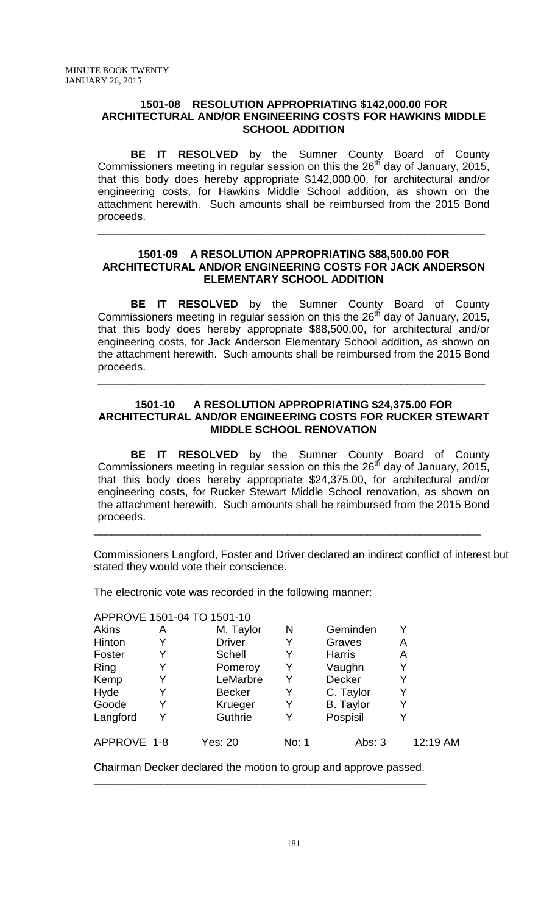#### **1501-08 RESOLUTION APPROPRIATING \$142,000.00 FOR ARCHITECTURAL AND/OR ENGINEERING COSTS FOR HAWKINS MIDDLE SCHOOL ADDITION**

**BE IT RESOLVED** by the Sumner County Board of County Commissioners meeting in regular session on this the  $26<sup>th</sup>$  day of January, 2015, that this body does hereby appropriate \$142,000.00, for architectural and/or engineering costs, for Hawkins Middle School addition, as shown on the attachment herewith. Such amounts shall be reimbursed from the 2015 Bond proceeds.

## **1501-09 A RESOLUTION APPROPRIATING \$88,500.00 FOR ARCHITECTURAL AND/OR ENGINEERING COSTS FOR JACK ANDERSON ELEMENTARY SCHOOL ADDITION**

\_\_\_\_\_\_\_\_\_\_\_\_\_\_\_\_\_\_\_\_\_\_\_\_\_\_\_\_\_\_\_\_\_\_\_\_\_\_\_\_\_\_\_\_\_\_\_\_\_\_\_\_\_\_\_\_\_\_\_\_\_\_\_\_

**BE IT RESOLVED** by the Sumner County Board of County Commissioners meeting in regular session on this the  $26<sup>th</sup>$  day of January, 2015, that this body does hereby appropriate \$88,500.00, for architectural and/or engineering costs, for Jack Anderson Elementary School addition, as shown on the attachment herewith. Such amounts shall be reimbursed from the 2015 Bond proceeds.

# **1501-10 A RESOLUTION APPROPRIATING \$24,375.00 FOR ARCHITECTURAL AND/OR ENGINEERING COSTS FOR RUCKER STEWART MIDDLE SCHOOL RENOVATION**

\_\_\_\_\_\_\_\_\_\_\_\_\_\_\_\_\_\_\_\_\_\_\_\_\_\_\_\_\_\_\_\_\_\_\_\_\_\_\_\_\_\_\_\_\_\_\_\_\_\_\_\_\_\_\_\_\_\_\_\_\_\_\_\_

**BE IT RESOLVED** by the Sumner County Board of County Commissioners meeting in regular session on this the  $26<sup>th</sup>$  day of January, 2015, that this body does hereby appropriate \$24,375.00, for architectural and/or engineering costs, for Rucker Stewart Middle School renovation, as shown on the attachment herewith. Such amounts shall be reimbursed from the 2015 Bond proceeds.

\_\_\_\_\_\_\_\_\_\_\_\_\_\_\_\_\_\_\_\_\_\_\_\_\_\_\_\_\_\_\_\_\_\_\_\_\_\_\_\_\_\_\_\_\_\_\_\_\_\_\_\_\_\_\_\_\_\_\_\_\_\_\_\_

Commissioners Langford, Foster and Driver declared an indirect conflict of interest but stated they would vote their conscience.

The electronic vote was recorded in the following manner:

### APPROVE 1501-04 TO 1501-10

| Akins       | Α | M. Taylor      | N     | Geminden         |          |
|-------------|---|----------------|-------|------------------|----------|
| Hinton      | Y | <b>Driver</b>  |       | Graves           | A        |
| Foster      | Y | <b>Schell</b>  | Y     | <b>Harris</b>    | A        |
| Ring        | Y | Pomeroy        |       | Vaughn           |          |
| Kemp        | Y | LeMarbre       | Y     | Decker           |          |
| Hyde        | Y | <b>Becker</b>  | Y     | C. Taylor        | Y        |
| Goode       | Y | Krueger        |       | <b>B.</b> Taylor |          |
| Langford    | Y | Guthrie        |       | Pospisil         |          |
| APPROVE 1-8 |   | <b>Yes: 20</b> | No: 1 | Abs: $3$         | 12:19 AM |

Chairman Decker declared the motion to group and approve passed. \_\_\_\_\_\_\_\_\_\_\_\_\_\_\_\_\_\_\_\_\_\_\_\_\_\_\_\_\_\_\_\_\_\_\_\_\_\_\_\_\_\_\_\_\_\_\_\_\_\_\_\_\_\_\_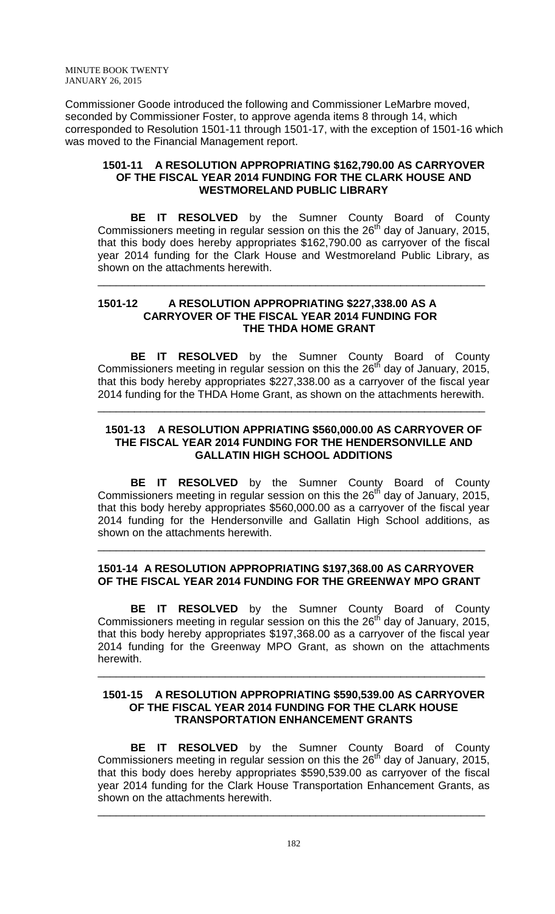Commissioner Goode introduced the following and Commissioner LeMarbre moved, seconded by Commissioner Foster, to approve agenda items 8 through 14, which corresponded to Resolution 1501-11 through 1501-17, with the exception of 1501-16 which was moved to the Financial Management report.

## **1501-11 A RESOLUTION APPROPRIATING \$162,790.00 AS CARRYOVER OF THE FISCAL YEAR 2014 FUNDING FOR THE CLARK HOUSE AND WESTMORELAND PUBLIC LIBRARY**

**BE IT RESOLVED** by the Sumner County Board of County Commissioners meeting in regular session on this the  $26<sup>th</sup>$  day of January, 2015, that this body does hereby appropriates \$162,790.00 as carryover of the fiscal year 2014 funding for the Clark House and Westmoreland Public Library, as shown on the attachments herewith.

\_\_\_\_\_\_\_\_\_\_\_\_\_\_\_\_\_\_\_\_\_\_\_\_\_\_\_\_\_\_\_\_\_\_\_\_\_\_\_\_\_\_\_\_\_\_\_\_\_\_\_\_\_\_\_\_\_\_\_\_\_\_\_\_

## **1501-12 A RESOLUTION APPROPRIATING \$227,338.00 AS A CARRYOVER OF THE FISCAL YEAR 2014 FUNDING FOR THE THDA HOME GRANT**

**BE IT RESOLVED** by the Sumner County Board of County Commissioners meeting in regular session on this the  $26<sup>th</sup>$  day of January, 2015, that this body hereby appropriates \$227,338.00 as a carryover of the fiscal year 2014 funding for the THDA Home Grant, as shown on the attachments herewith.

# **1501-13 A RESOLUTION APPRIATING \$560,000.00 AS CARRYOVER OF THE FISCAL YEAR 2014 FUNDING FOR THE HENDERSONVILLE AND GALLATIN HIGH SCHOOL ADDITIONS**

\_\_\_\_\_\_\_\_\_\_\_\_\_\_\_\_\_\_\_\_\_\_\_\_\_\_\_\_\_\_\_\_\_\_\_\_\_\_\_\_\_\_\_\_\_\_\_\_\_\_\_\_\_\_\_\_\_\_\_\_\_\_\_\_

**BE IT RESOLVED** by the Sumner County Board of County Commissioners meeting in regular session on this the  $26<sup>th</sup>$  day of January, 2015, that this body hereby appropriates \$560,000.00 as a carryover of the fiscal year 2014 funding for the Hendersonville and Gallatin High School additions, as shown on the attachments herewith.

# **1501-14 A RESOLUTION APPROPRIATING \$197,368.00 AS CARRYOVER OF THE FISCAL YEAR 2014 FUNDING FOR THE GREENWAY MPO GRANT**

\_\_\_\_\_\_\_\_\_\_\_\_\_\_\_\_\_\_\_\_\_\_\_\_\_\_\_\_\_\_\_\_\_\_\_\_\_\_\_\_\_\_\_\_\_\_\_\_\_\_\_\_\_\_\_\_\_\_\_\_\_\_\_\_

**BE IT RESOLVED** by the Sumner County Board of County Commissioners meeting in regular session on this the  $26<sup>th</sup>$  day of January, 2015, that this body hereby appropriates \$197,368.00 as a carryover of the fiscal year 2014 funding for the Greenway MPO Grant, as shown on the attachments herewith.

### **1501-15 A RESOLUTION APPROPRIATING \$590,539.00 AS CARRYOVER OF THE FISCAL YEAR 2014 FUNDING FOR THE CLARK HOUSE TRANSPORTATION ENHANCEMENT GRANTS**

\_\_\_\_\_\_\_\_\_\_\_\_\_\_\_\_\_\_\_\_\_\_\_\_\_\_\_\_\_\_\_\_\_\_\_\_\_\_\_\_\_\_\_\_\_\_\_\_\_\_\_\_\_\_\_\_\_\_\_\_\_\_\_\_

**BE IT RESOLVED** by the Sumner County Board of County Commissioners meeting in regular session on this the  $26<sup>th</sup>$  day of January, 2015, that this body does hereby appropriates \$590,539.00 as carryover of the fiscal year 2014 funding for the Clark House Transportation Enhancement Grants, as shown on the attachments herewith.

\_\_\_\_\_\_\_\_\_\_\_\_\_\_\_\_\_\_\_\_\_\_\_\_\_\_\_\_\_\_\_\_\_\_\_\_\_\_\_\_\_\_\_\_\_\_\_\_\_\_\_\_\_\_\_\_\_\_\_\_\_\_\_\_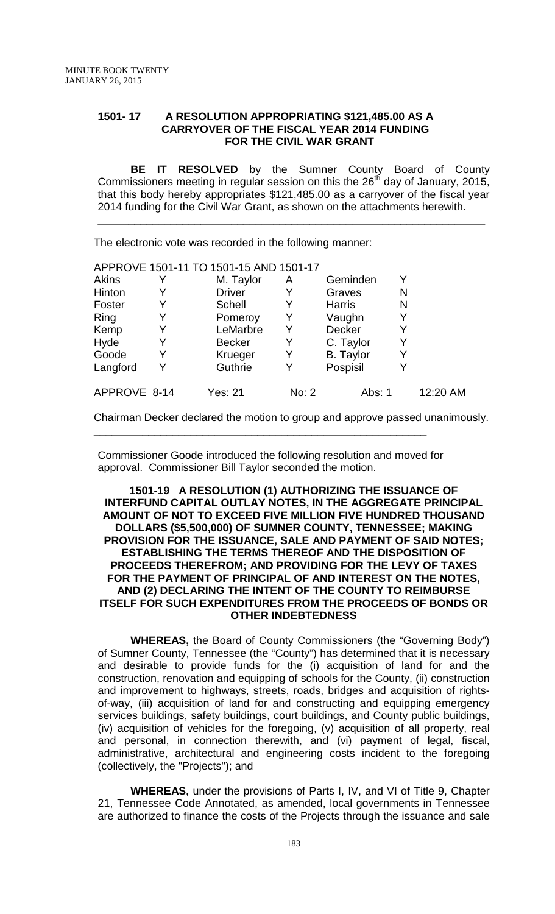## **1501- 17 A RESOLUTION APPROPRIATING \$121,485.00 AS A CARRYOVER OF THE FISCAL YEAR 2014 FUNDING FOR THE CIVIL WAR GRANT**

**BE IT RESOLVED** by the Sumner County Board of County Commissioners meeting in regular session on this the  $26<sup>th</sup>$  day of January, 2015, that this body hereby appropriates \$121,485.00 as a carryover of the fiscal year 2014 funding for the Civil War Grant, as shown on the attachments herewith.

\_\_\_\_\_\_\_\_\_\_\_\_\_\_\_\_\_\_\_\_\_\_\_\_\_\_\_\_\_\_\_\_\_\_\_\_\_\_\_\_\_\_\_\_\_\_\_\_\_\_\_\_\_\_\_\_\_\_\_\_\_\_\_\_

The electronic vote was recorded in the following manner:

|              |   | APPROVE 1501-11 TO 1501-15 AND 1501-17 |       |                  |   |          |
|--------------|---|----------------------------------------|-------|------------------|---|----------|
| <b>Akins</b> |   | M. Taylor                              | Α     | Geminden         |   |          |
| Hinton       |   | <b>Driver</b>                          | Y     | Graves           | N |          |
| Foster       |   | Schell                                 |       | <b>Harris</b>    | N |          |
| Ring         |   | Pomeroy                                | Y     | Vaughn           |   |          |
| Kemp         | Y | LeMarbre                               | Y     | Decker           |   |          |
| Hyde         | Y | <b>Becker</b>                          | Y     | C. Taylor        |   |          |
| Goode        |   | Krueger                                | Y     | <b>B.</b> Taylor |   |          |
| Langford     | Y | Guthrie                                | Y     | Pospisil         |   |          |
| APPROVE 8-14 |   | Yes: 21                                | No: 2 | Abs: 1           |   | 12:20 AM |

Chairman Decker declared the motion to group and approve passed unanimously.

Commissioner Goode introduced the following resolution and moved for approval. Commissioner Bill Taylor seconded the motion.

\_\_\_\_\_\_\_\_\_\_\_\_\_\_\_\_\_\_\_\_\_\_\_\_\_\_\_\_\_\_\_\_\_\_\_\_\_\_\_\_\_\_\_\_\_\_\_\_\_\_\_\_\_\_\_

### **1501-19 A RESOLUTION (1) AUTHORIZING THE ISSUANCE OF INTERFUND CAPITAL OUTLAY NOTES, IN THE AGGREGATE PRINCIPAL AMOUNT OF NOT TO EXCEED FIVE MILLION FIVE HUNDRED THOUSAND DOLLARS (\$5,500,000) OF SUMNER COUNTY, TENNESSEE; MAKING PROVISION FOR THE ISSUANCE, SALE AND PAYMENT OF SAID NOTES; ESTABLISHING THE TERMS THEREOF AND THE DISPOSITION OF PROCEEDS THEREFROM; AND PROVIDING FOR THE LEVY OF TAXES FOR THE PAYMENT OF PRINCIPAL OF AND INTEREST ON THE NOTES, AND (2) DECLARING THE INTENT OF THE COUNTY TO REIMBURSE ITSELF FOR SUCH EXPENDITURES FROM THE PROCEEDS OF BONDS OR OTHER INDEBTEDNESS**

**WHEREAS,** the Board of County Commissioners (the "Governing Body") of Sumner County, Tennessee (the "County") has determined that it is necessary and desirable to provide funds for the (i) acquisition of land for and the construction, renovation and equipping of schools for the County, (ii) construction and improvement to highways, streets, roads, bridges and acquisition of rightsof-way, (iii) acquisition of land for and constructing and equipping emergency services buildings, safety buildings, court buildings, and County public buildings, (iv) acquisition of vehicles for the foregoing, (v) acquisition of all property, real and personal, in connection therewith, and (vi) payment of legal, fiscal, administrative, architectural and engineering costs incident to the foregoing (collectively, the "Projects"); and

**WHEREAS,** under the provisions of Parts I, IV, and VI of Title 9, Chapter 21, Tennessee Code Annotated, as amended, local governments in Tennessee are authorized to finance the costs of the Projects through the issuance and sale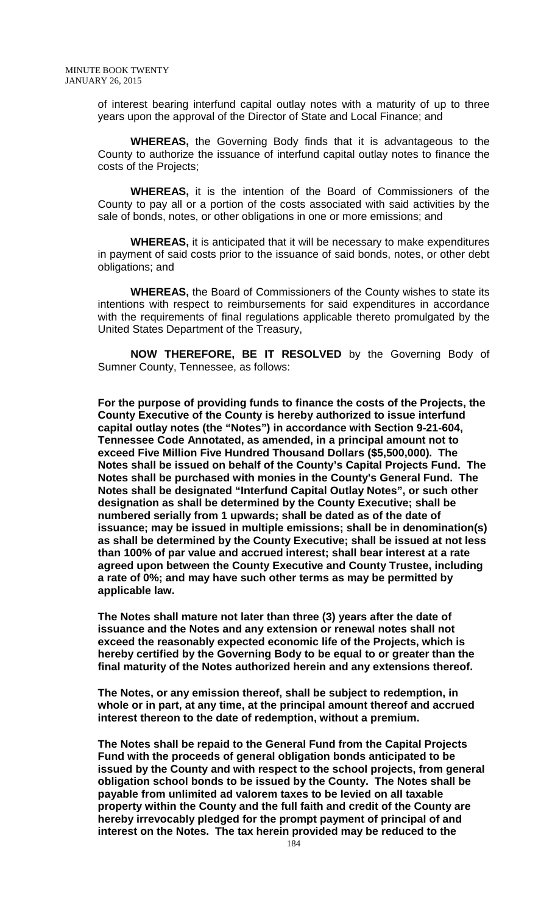of interest bearing interfund capital outlay notes with a maturity of up to three years upon the approval of the Director of State and Local Finance; and

**WHEREAS,** the Governing Body finds that it is advantageous to the County to authorize the issuance of interfund capital outlay notes to finance the costs of the Projects;

**WHEREAS,** it is the intention of the Board of Commissioners of the County to pay all or a portion of the costs associated with said activities by the sale of bonds, notes, or other obligations in one or more emissions; and

**WHEREAS,** it is anticipated that it will be necessary to make expenditures in payment of said costs prior to the issuance of said bonds, notes, or other debt obligations; and

**WHEREAS,** the Board of Commissioners of the County wishes to state its intentions with respect to reimbursements for said expenditures in accordance with the requirements of final regulations applicable thereto promulgated by the United States Department of the Treasury,

**NOW THEREFORE, BE IT RESOLVED** by the Governing Body of Sumner County, Tennessee, as follows:

**For the purpose of providing funds to finance the costs of the Projects, the County Executive of the County is hereby authorized to issue interfund capital outlay notes (the "Notes") in accordance with Section 9-21-604, Tennessee Code Annotated, as amended, in a principal amount not to exceed Five Million Five Hundred Thousand Dollars (\$5,500,000). The Notes shall be issued on behalf of the County's Capital Projects Fund. The Notes shall be purchased with monies in the County's General Fund. The Notes shall be designated "Interfund Capital Outlay Notes", or such other designation as shall be determined by the County Executive; shall be numbered serially from 1 upwards; shall be dated as of the date of issuance; may be issued in multiple emissions; shall be in denomination(s) as shall be determined by the County Executive; shall be issued at not less than 100% of par value and accrued interest; shall bear interest at a rate agreed upon between the County Executive and County Trustee, including a rate of 0%; and may have such other terms as may be permitted by applicable law.**

**The Notes shall mature not later than three (3) years after the date of issuance and the Notes and any extension or renewal notes shall not exceed the reasonably expected economic life of the Projects, which is hereby certified by the Governing Body to be equal to or greater than the final maturity of the Notes authorized herein and any extensions thereof.**

**The Notes, or any emission thereof, shall be subject to redemption, in whole or in part, at any time, at the principal amount thereof and accrued interest thereon to the date of redemption, without a premium.**

**The Notes shall be repaid to the General Fund from the Capital Projects Fund with the proceeds of general obligation bonds anticipated to be issued by the County and with respect to the school projects, from general obligation school bonds to be issued by the County. The Notes shall be payable from unlimited ad valorem taxes to be levied on all taxable property within the County and the full faith and credit of the County are hereby irrevocably pledged for the prompt payment of principal of and interest on the Notes. The tax herein provided may be reduced to the**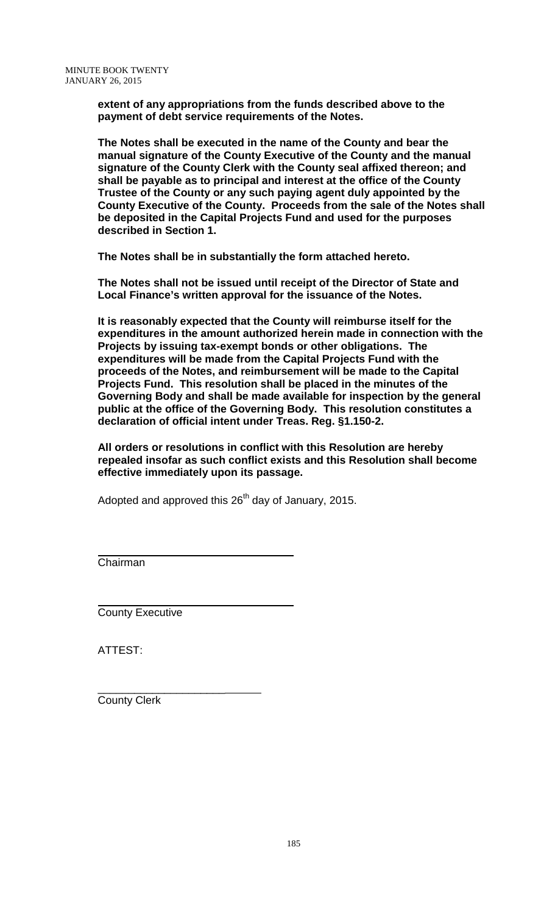**extent of any appropriations from the funds described above to the payment of debt service requirements of the Notes.**

**The Notes shall be executed in the name of the County and bear the manual signature of the County Executive of the County and the manual signature of the County Clerk with the County seal affixed thereon; and shall be payable as to principal and interest at the office of the County Trustee of the County or any such paying agent duly appointed by the County Executive of the County. Proceeds from the sale of the Notes shall be deposited in the Capital Projects Fund and used for the purposes described in Section 1.**

**The Notes shall be in substantially the form attached hereto.**

**The Notes shall not be issued until receipt of the Director of State and Local Finance's written approval for the issuance of the Notes.**

**It is reasonably expected that the County will reimburse itself for the expenditures in the amount authorized herein made in connection with the Projects by issuing tax-exempt bonds or other obligations. The expenditures will be made from the Capital Projects Fund with the proceeds of the Notes, and reimbursement will be made to the Capital Projects Fund. This resolution shall be placed in the minutes of the Governing Body and shall be made available for inspection by the general public at the office of the Governing Body. This resolution constitutes a declaration of official intent under Treas. Reg. §1.150-2.**

**All orders or resolutions in conflict with this Resolution are hereby repealed insofar as such conflict exists and this Resolution shall become effective immediately upon its passage.**

Adopted and approved this  $26<sup>th</sup>$  day of January, 2015.

Chairman

County Executive

ATTEST:

\_\_\_\_\_\_\_\_\_\_\_\_\_\_\_\_\_\_\_\_\_ County Clerk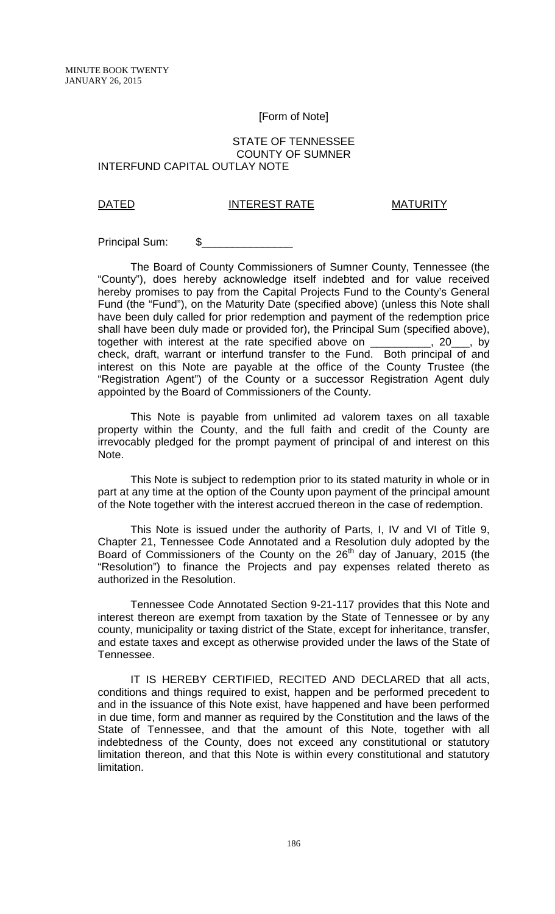#### [Form of Note]

#### STATE OF TENNESSEE COUNTY OF SUMNER INTERFUND CAPITAL OUTLAY NOTE

# DATED INTEREST RATE MATURITY

Principal Sum: \$

The Board of County Commissioners of Sumner County, Tennessee (the "County"), does hereby acknowledge itself indebted and for value received hereby promises to pay from the Capital Projects Fund to the County's General Fund (the "Fund"), on the Maturity Date (specified above) (unless this Note shall have been duly called for prior redemption and payment of the redemption price shall have been duly made or provided for), the Principal Sum (specified above), together with interest at the rate specified above on \_\_\_\_\_\_\_\_\_\_, 20\_\_\_, by together with interest at the rate specified above on check, draft, warrant or interfund transfer to the Fund. Both principal of and interest on this Note are payable at the office of the County Trustee (the "Registration Agent") of the County or a successor Registration Agent duly appointed by the Board of Commissioners of the County.

This Note is payable from unlimited ad valorem taxes on all taxable property within the County, and the full faith and credit of the County are irrevocably pledged for the prompt payment of principal of and interest on this Note.

This Note is subject to redemption prior to its stated maturity in whole or in part at any time at the option of the County upon payment of the principal amount of the Note together with the interest accrued thereon in the case of redemption.

This Note is issued under the authority of Parts, I, IV and VI of Title 9, Chapter 21, Tennessee Code Annotated and a Resolution duly adopted by the Board of Commissioners of the County on the  $26<sup>th</sup>$  day of January, 2015 (the "Resolution") to finance the Projects and pay expenses related thereto as authorized in the Resolution.

Tennessee Code Annotated Section 9-21-117 provides that this Note and interest thereon are exempt from taxation by the State of Tennessee or by any county, municipality or taxing district of the State, except for inheritance, transfer, and estate taxes and except as otherwise provided under the laws of the State of Tennessee.

IT IS HEREBY CERTIFIED, RECITED AND DECLARED that all acts, conditions and things required to exist, happen and be performed precedent to and in the issuance of this Note exist, have happened and have been performed in due time, form and manner as required by the Constitution and the laws of the State of Tennessee, and that the amount of this Note, together with all indebtedness of the County, does not exceed any constitutional or statutory limitation thereon, and that this Note is within every constitutional and statutory limitation.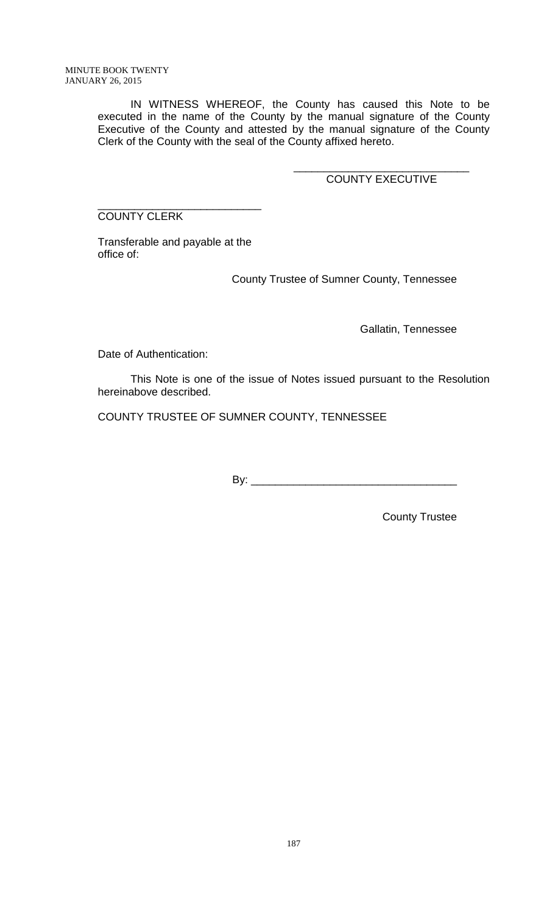IN WITNESS WHEREOF, the County has caused this Note to be executed in the name of the County by the manual signature of the County Executive of the County and attested by the manual signature of the County Clerk of the County with the seal of the County affixed hereto.

> \_\_\_\_\_\_\_\_\_\_\_\_\_\_\_\_\_\_\_\_\_\_\_\_\_\_\_\_\_ COUNTY EXECUTIVE

\_\_\_\_\_\_\_\_\_\_\_\_\_\_\_\_\_\_\_\_\_\_\_\_\_\_\_ COUNTY CLERK

Transferable and payable at the office of:

County Trustee of Sumner County, Tennessee

Gallatin, Tennessee

Date of Authentication:

This Note is one of the issue of Notes issued pursuant to the Resolution hereinabove described.

COUNTY TRUSTEE OF SUMNER COUNTY, TENNESSEE

By: \_\_\_\_\_\_\_\_\_\_\_\_\_\_\_\_\_\_\_\_\_\_\_\_\_\_\_\_\_\_\_\_\_\_

County Trustee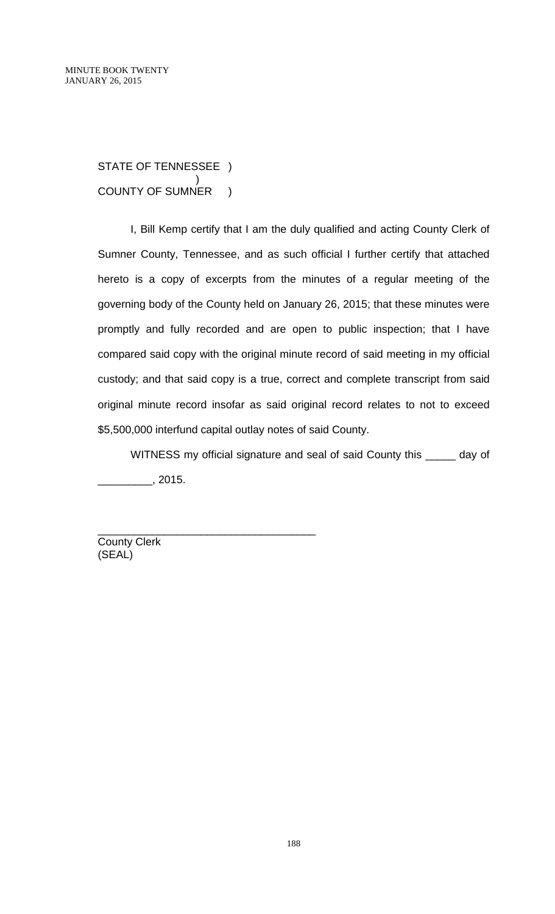STATE OF TENNESSEE ) ) COUNTY OF SUMNER )

I, Bill Kemp certify that I am the duly qualified and acting County Clerk of Sumner County, Tennessee, and as such official I further certify that attached hereto is a copy of excerpts from the minutes of a regular meeting of the governing body of the County held on January 26, 2015; that these minutes were promptly and fully recorded and are open to public inspection; that I have compared said copy with the original minute record of said meeting in my official custody; and that said copy is a true, correct and complete transcript from said original minute record insofar as said original record relates to not to exceed \$5,500,000 interfund capital outlay notes of said County.

WITNESS my official signature and seal of said County this \_\_\_\_\_ day of \_\_\_\_\_\_\_\_\_, 2015.

County Clerk (SEAL)

\_\_\_\_\_\_\_\_\_\_\_\_\_\_\_\_\_\_\_\_\_\_\_\_\_\_\_\_\_\_\_\_\_\_\_\_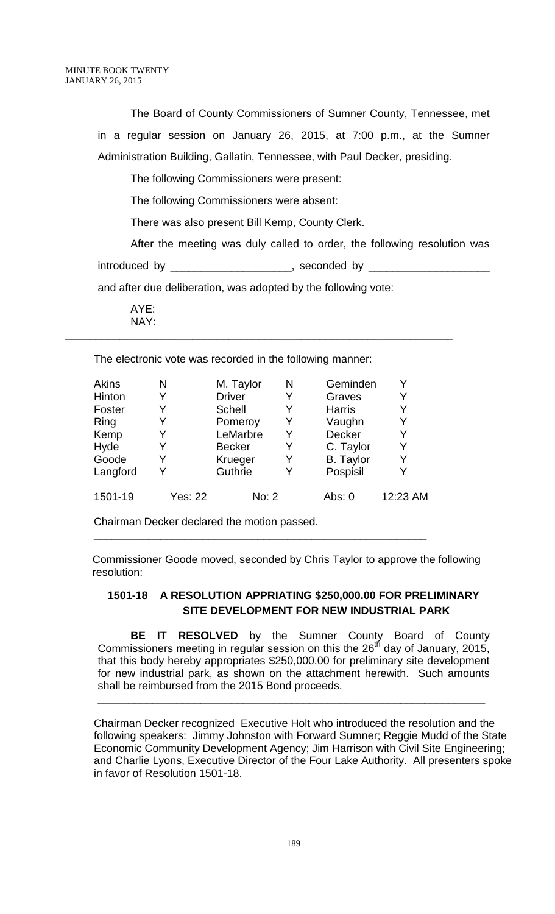The Board of County Commissioners of Sumner County, Tennessee, met in a regular session on January 26, 2015, at 7:00 p.m., at the Sumner Administration Building, Gallatin, Tennessee, with Paul Decker, presiding.

The following Commissioners were present:

The following Commissioners were absent:

There was also present Bill Kemp, County Clerk.

After the meeting was duly called to order, the following resolution was introduced by \_\_\_\_\_\_\_\_\_\_\_\_\_\_\_\_\_\_\_\_\_\_\_\_, seconded by \_

and after due deliberation, was adopted by the following vote:

\_\_\_\_\_\_\_\_\_\_\_\_\_\_\_\_\_\_\_\_\_\_\_\_\_\_\_\_\_\_\_\_\_\_\_\_\_\_\_\_\_\_\_\_\_\_\_\_\_\_\_\_\_\_\_\_\_\_\_\_\_\_\_\_

AYE: NAY:

The electronic vote was recorded in the following manner:

| Akins    | N              | M. Taylor     | N | Geminden         |          |
|----------|----------------|---------------|---|------------------|----------|
| Hinton   |                | <b>Driver</b> | Y | Graves           | Y        |
| Foster   |                | <b>Schell</b> | Y | <b>Harris</b>    | Y        |
| Ring     |                | Pomeroy       | Y | Vaughn           | Y        |
| Kemp     |                | LeMarbre      | Y | <b>Decker</b>    | Y        |
| Hyde     |                | <b>Becker</b> |   | C. Taylor        | Y        |
| Goode    |                | Krueger       |   | <b>B.</b> Taylor | Y        |
| Langford |                | Guthrie       |   | Pospisil         | Y        |
| 1501-19  | <b>Yes: 22</b> | No: 2         |   | Abs: $0$         | 12:23 AM |

\_\_\_\_\_\_\_\_\_\_\_\_\_\_\_\_\_\_\_\_\_\_\_\_\_\_\_\_\_\_\_\_\_\_\_\_\_\_\_\_\_\_\_\_\_\_\_\_\_\_\_\_\_\_\_

Chairman Decker declared the motion passed.

 Commissioner Goode moved, seconded by Chris Taylor to approve the following resolution:

# **1501-18 A RESOLUTION APPRIATING \$250,000.00 FOR PRELIMINARY SITE DEVELOPMENT FOR NEW INDUSTRIAL PARK**

**BE IT RESOLVED** by the Sumner County Board of County Commissioners meeting in regular session on this the  $26<sup>th</sup>$  day of January, 2015, that this body hereby appropriates \$250,000.00 for preliminary site development for new industrial park, as shown on the attachment herewith. Such amounts shall be reimbursed from the 2015 Bond proceeds.

\_\_\_\_\_\_\_\_\_\_\_\_\_\_\_\_\_\_\_\_\_\_\_\_\_\_\_\_\_\_\_\_\_\_\_\_\_\_\_\_\_\_\_\_\_\_\_\_\_\_\_\_\_\_\_\_\_\_\_\_\_\_\_\_

Chairman Decker recognized Executive Holt who introduced the resolution and the following speakers: Jimmy Johnston with Forward Sumner; Reggie Mudd of the State Economic Community Development Agency; Jim Harrison with Civil Site Engineering; and Charlie Lyons, Executive Director of the Four Lake Authority. All presenters spoke in favor of Resolution 1501-18.